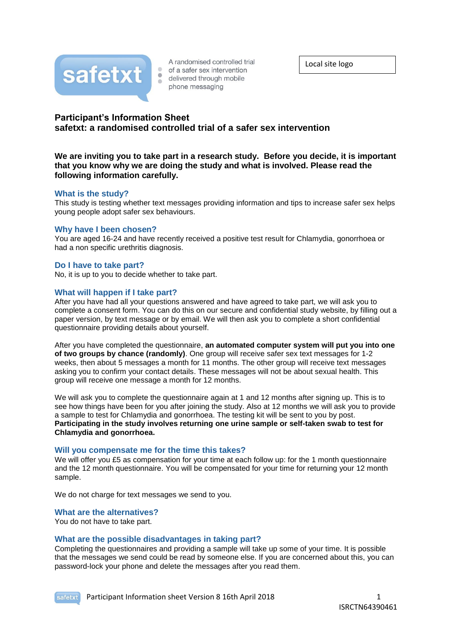

A randomised controlled trial • of a safer sex intervention delivered through mobile phone messaging

Local site logo

# **Participant's Information Sheet safetxt: a randomised controlled trial of a safer sex intervention**

 $\triangle$ 

**We are inviting you to take part in a research study. Before you decide, it is important that you know why we are doing the study and what is involved. Please read the following information carefully.**

## **What is the study?**

This study is testing whether text messages providing information and tips to increase safer sex helps young people adopt safer sex behaviours.

## **Why have I been chosen?**

You are aged 16-24 and have recently received a positive test result for Chlamydia, gonorrhoea or had a non specific urethritis diagnosis.

#### **Do I have to take part?**

No, it is up to you to decide whether to take part.

#### **What will happen if I take part?**

After you have had all your questions answered and have agreed to take part, we will ask you to complete a consent form. You can do this on our secure and confidential study website, by filling out a paper version, by text message or by email. We will then ask you to complete a short confidential questionnaire providing details about yourself.

After you have completed the questionnaire, **an automated computer system will put you into one of two groups by chance (randomly)**. One group will receive safer sex text messages for 1-2 weeks, then about 5 messages a month for 11 months. The other group will receive text messages asking you to confirm your contact details. These messages will not be about sexual health. This group will receive one message a month for 12 months.

We will ask you to complete the questionnaire again at 1 and 12 months after signing up. This is to see how things have been for you after joining the study. Also at 12 months we will ask you to provide a sample to test for Chlamydia and gonorrhoea. The testing kit will be sent to you by post. **Participating in the study involves returning one urine sample or self-taken swab to test for Chlamydia and gonorrhoea.**

#### **Will you compensate me for the time this takes?**

We will offer you £5 as compensation for your time at each follow up: for the 1 month questionnaire and the 12 month questionnaire. You will be compensated for your time for returning your 12 month sample.

We do not charge for text messages we send to you.

#### **What are the alternatives?**

You do not have to take part.

## **What are the possible disadvantages in taking part?**

Completing the questionnaires and providing a sample will take up some of your time. It is possible that the messages we send could be read by someone else. If you are concerned about this, you can password-lock your phone and delete the messages after you read them.

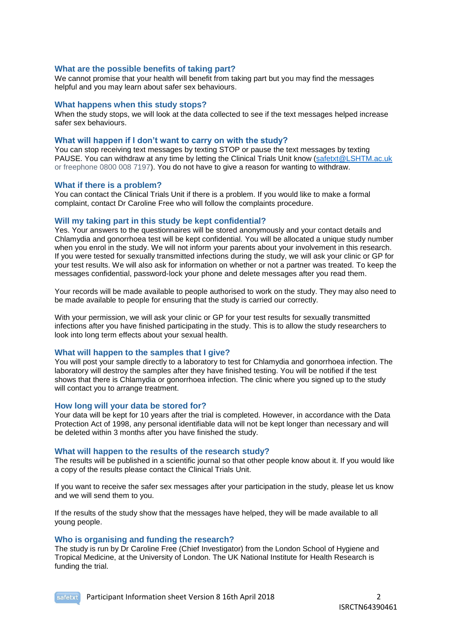### **What are the possible benefits of taking part?**

We cannot promise that your health will benefit from taking part but you may find the messages helpful and you may learn about safer sex behaviours.

#### **What happens when this study stops?**

When the study stops, we will look at the data collected to see if the text messages helped increase safer sex behaviours.

#### **What will happen if I don't want to carry on with the study?**

You can stop receiving text messages by texting STOP or pause the text messages by texting PAUSE. You can withdraw at any time by letting the Clinical Trials Unit know [\(safetxt@LSHTM.ac.uk](mailto:safetxt@LSHTM.ac.uk) or freephone 0800 008 7197). You do not have to give a reason for wanting to withdraw.

#### **What if there is a problem?**

You can contact the Clinical Trials Unit if there is a problem. If you would like to make a formal complaint, contact Dr Caroline Free who will follow the complaints procedure.

#### **Will my taking part in this study be kept confidential?**

Yes. Your answers to the questionnaires will be stored anonymously and your contact details and Chlamydia and gonorrhoea test will be kept confidential. You will be allocated a unique study number when you enrol in the study. We will not inform your parents about your involvement in this research. If you were tested for sexually transmitted infections during the study, we will ask your clinic or GP for your test results. We will also ask for information on whether or not a partner was treated. To keep the messages confidential, password-lock your phone and delete messages after you read them.

Your records will be made available to people authorised to work on the study. They may also need to be made available to people for ensuring that the study is carried our correctly.

With your permission, we will ask your clinic or GP for your test results for sexually transmitted infections after you have finished participating in the study. This is to allow the study researchers to look into long term effects about your sexual health.

### **What will happen to the samples that I give?**

You will post your sample directly to a laboratory to test for Chlamydia and gonorrhoea infection. The laboratory will destroy the samples after they have finished testing. You will be notified if the test shows that there is Chlamydia or gonorrhoea infection. The clinic where you signed up to the study will contact you to arrange treatment.

#### **How long will your data be stored for?**

Your data will be kept for 10 years after the trial is completed. However, in accordance with the Data Protection Act of 1998, any personal identifiable data will not be kept longer than necessary and will be deleted within 3 months after you have finished the study.

#### **What will happen to the results of the research study?**

The results will be published in a scientific journal so that other people know about it. If you would like a copy of the results please contact the Clinical Trials Unit.

If you want to receive the safer sex messages after your participation in the study, please let us know and we will send them to you.

If the results of the study show that the messages have helped, they will be made available to all young people.

#### **Who is organising and funding the research?**

The study is run by Dr Caroline Free (Chief Investigator) from the London School of Hygiene and Tropical Medicine, at the University of London. The UK National Institute for Health Research is funding the trial.